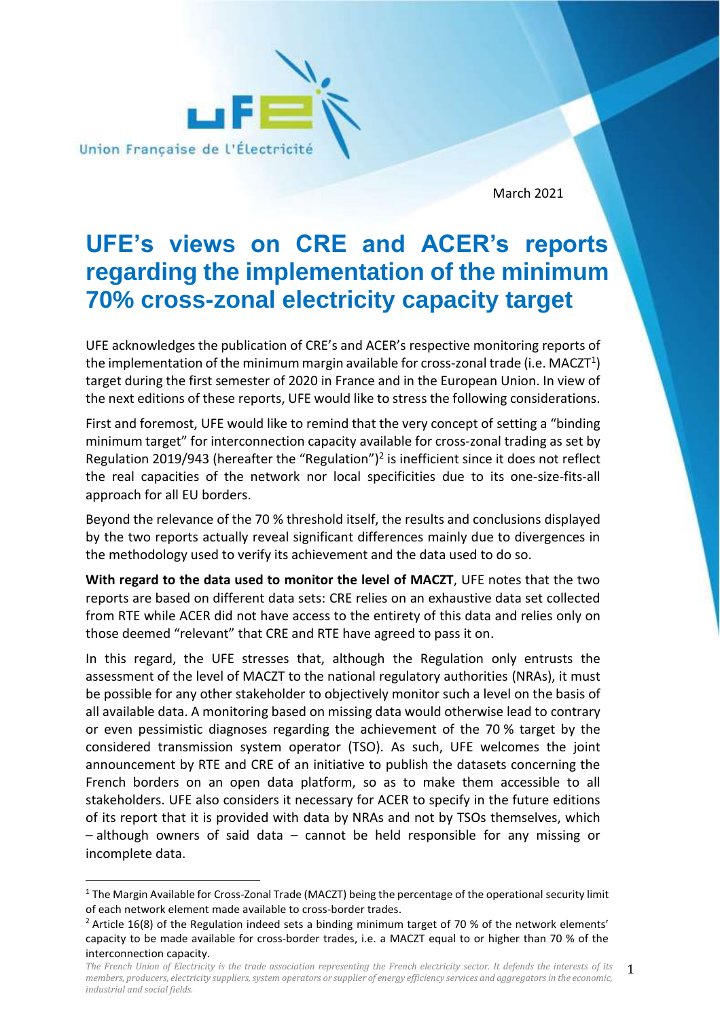

March 2021

## **UFE's views on CRE and ACER's reports regarding the implementation of the minimum 70% cross-zonal electricity capacity target**

UFE acknowledges the publication of CRE's and ACER's respective monitoring reports of the implementation of the minimum margin available for cross-zonal trade (i.e. MACZT $^{\rm 1)}$ target during the first semester of 2020 in France and in the European Union. In view of the next editions of these reports, UFE would like to stress the following considerations.

First and foremost, UFE would like to remind that the very concept of setting a "binding minimum target" for interconnection capacity available for cross-zonal trading as set by Regulation 2019/943 (hereafter the "Regulation")<sup>2</sup> is inefficient since it does not reflect the real capacities of the network nor local specificities due to its one-size-fits-all approach for all EU borders.

Beyond the relevance of the 70 % threshold itself, the results and conclusions displayed by the two reports actually reveal significant differences mainly due to divergences in the methodology used to verify its achievement and the data used to do so.

**With regard to the data used to monitor the level of MACZT**, UFE notes that the two reports are based on different data sets: CRE relies on an exhaustive data set collected from RTE while ACER did not have access to the entirety of this data and relies only on those deemed "relevant" that CRE and RTE have agreed to pass it on.

In this regard, the UFE stresses that, although the Regulation only entrusts the assessment of the level of MACZT to the national regulatory authorities (NRAs), it must be possible for any other stakeholder to objectively monitor such a level on the basis of all available data. A monitoring based on missing data would otherwise lead to contrary or even pessimistic diagnoses regarding the achievement of the 70 % target by the considered transmission system operator (TSO). As such, UFE welcomes the joint announcement by RTE and CRE of an initiative to publish the datasets concerning the French borders on an open data platform, so as to make them accessible to all stakeholders. UFE also considers it necessary for ACER to specify in the future editions of its report that it is provided with data by NRAs and not by TSOs themselves, which – although owners of said data – cannot be held responsible for any missing or incomplete data.

 $1$  The Margin Available for Cross-Zonal Trade (MACZT) being the percentage of the operational security limit of each network element made available to cross-border trades.

<sup>&</sup>lt;sup>2</sup> Article 16(8) of the Regulation indeed sets a binding minimum target of 70 % of the network elements' capacity to be made available for cross-border trades, i.e. a MACZT equal to or higher than 70 % of the interconnection capacity.